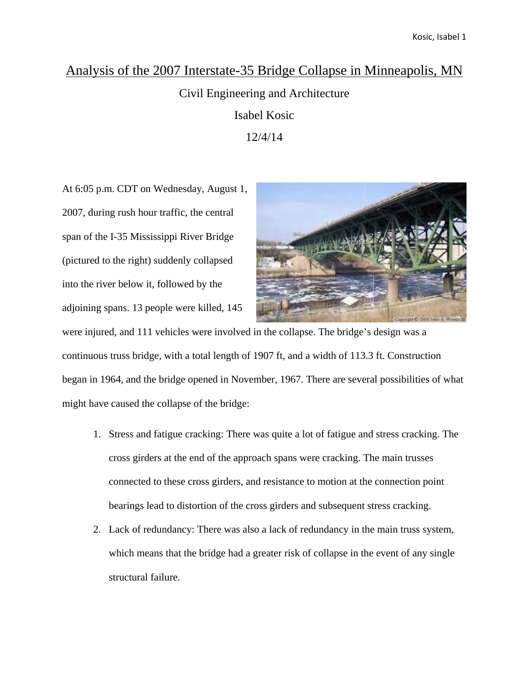### Analysis of the 2007 Interstate-35 Bridge Collapse in Minneapolis, MN

Civil Engineering and Architecture Isabel Kosic 12/4/14

At 6:05 p.m. CDT on Wednesday, August 1, 2007, during rush hour traffic, the central span of the I-35 Mississippi River Bridge (pictured to the right) suddenly collapsed into the river below it, followed by the adjoining spans. 13 people were killed, 145



were injured, and 111 vehicles were involved in the collapse. The bridge's design was a continuous truss bridge, with a total length of 1907 ft, and a width of 113.3 ft. Construction began in 1964, and the bridge opened in November, 1967. There are several possibilities of what might have caused the collapse of the bridge:

- 1. Stress and fatigue cracking: There was quite a lot of fatigue and stress cracking. The cross girders at the end of the approach spans were cracking. The main trusses connected to these cross girders, and resistance to motion at the connection point bearings lead to distortion of the cross girders and subsequent stress cracking.
- 2. Lack of redundancy: There was also a lack of redundancy in the main truss system, which means that the bridge had a greater risk of collapse in the event of any single structural failure.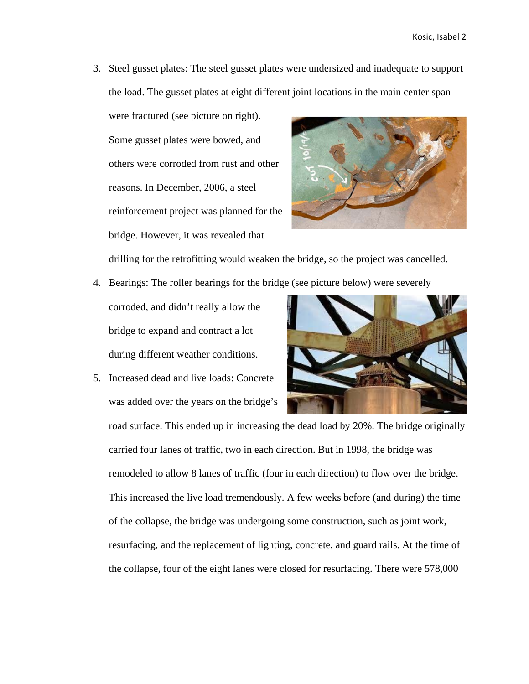3. Steel gusset plates: The steel gusset plates were undersized and inadequate to support the load. The gusset plates at eight different joint locations in the main center span

were fractured (see picture on right). Some gusset plates were bowed, and others were corroded from rust and other reasons. In December, 2006, a steel reinforcement project was planned for the bridge. However, it was revealed that



drilling for the retrofitting would weaken the bridge, so the project was cancelled.

- 4. Bearings: The roller bearings for the bridge (see picture below) were severely
	- corroded, and didn't really allow the bridge to expand and contract a lot during different weather conditions.
- 5. Increased dead and live loads: Concrete was added over the years on the bridge's



road surface. This ended up in increasing the dead load by 20%. The bridge originally carried four lanes of traffic, two in each direction. But in 1998, the bridge was remodeled to allow 8 lanes of traffic (four in each direction) to flow over the bridge. This increased the live load tremendously. A few weeks before (and during) the time of the collapse, the bridge was undergoing some construction, such as joint work, resurfacing, and the replacement of lighting, concrete, and guard rails. At the time of the collapse, four of the eight lanes were closed for resurfacing. There were 578,000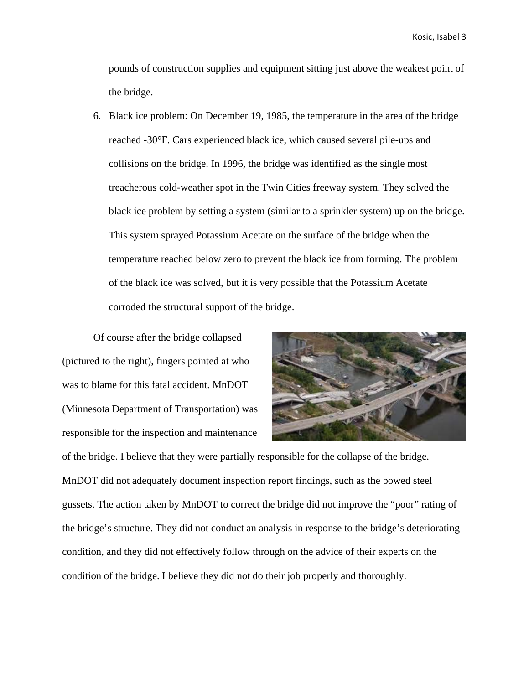pounds of construction supplies and equipment sitting just above the weakest point of the bridge.

6. Black ice problem: On December 19, 1985, the temperature in the area of the bridge reached -30°F. Cars experienced black ice, which caused several pile-ups and collisions on the bridge. In 1996, the bridge was identified as the single most treacherous cold-weather spot in the Twin Cities freeway system. They solved the black ice problem by setting a system (similar to a sprinkler system) up on the bridge. This system sprayed Potassium Acetate on the surface of the bridge when the temperature reached below zero to prevent the black ice from forming. The problem of the black ice was solved, but it is very possible that the Potassium Acetate corroded the structural support of the bridge.

Of course after the bridge collapsed (pictured to the right), fingers pointed at who was to blame for this fatal accident. MnDOT (Minnesota Department of Transportation) was responsible for the inspection and maintenance



of the bridge. I believe that they were partially responsible for the collapse of the bridge. MnDOT did not adequately document inspection report findings, such as the bowed steel gussets. The action taken by MnDOT to correct the bridge did not improve the "poor" rating of the bridge's structure. They did not conduct an analysis in response to the bridge's deteriorating condition, and they did not effectively follow through on the advice of their experts on the condition of the bridge. I believe they did not do their job properly and thoroughly.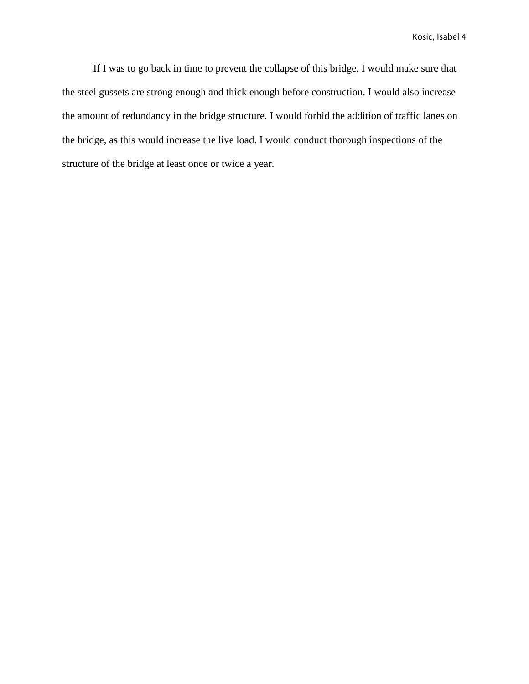Kosic, Isabel 4

If I was to go back in time to prevent the collapse of this bridge, I would make sure that the steel gussets are strong enough and thick enough before construction. I would also increase the amount of redundancy in the bridge structure. I would forbid the addition of traffic lanes on the bridge, as this would increase the live load. I would conduct thorough inspections of the structure of the bridge at least once or twice a year.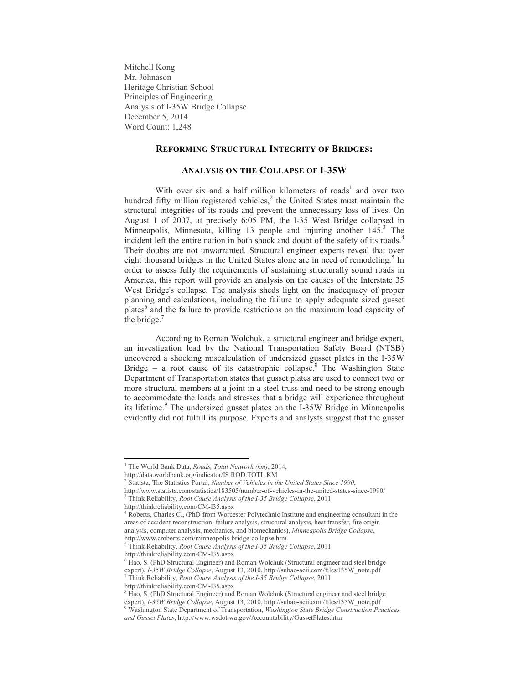Mitchell Kong Mr. Johnason Heritage Christian School Principles of Engineering Analysis of I-35W Bridge Collapse December 5, 2014 Word Count: 1,248

### **REFORMING STRUCTURAL INTEGRITY OF BRIDGES:**

### **ANALYSIS ON THE COLLAPSE OF I-35W**

With over six and a half million kilometers of roads<sup>1</sup> and over two hundred fifty million registered vehicles,<sup>2</sup> the United States must maintain the structural integrities of its roads and prevent the unnecessary loss of lives. On August 1 of 2007, at precisely 6:05 PM, the I-35 West Bridge collapsed in Minneapolis, Minnesota, killing 13 people and injuring another 145.<sup>3</sup> The incident left the entire nation in both shock and doubt of the safety of its roads. 4 Their doubts are not unwarranted. Structural engineer experts reveal that over eight thousand bridges in the United States alone are in need of remodeling.<sup>5</sup> In order to assess fully the requirements of sustaining structurally sound roads in America, this report will provide an analysis on the causes of the Interstate 35 West Bridge's collapse. The analysis sheds light on the inadequacy of proper planning and calculations, including the failure to apply adequate sized gusset plates<sup>6</sup> and the failure to provide restrictions on the maximum load capacity of the bridge. $<sup>7</sup>$ </sup>

According to Roman Wolchuk, a structural engineer and bridge expert, an investigation lead by the National Transportation Safety Board (NTSB) uncovered a shocking miscalculation of undersized gusset plates in the I-35W Bridge – a root cause of its catastrophic collapse.<sup>8</sup> The Washington State Department of Transportation states that gusset plates are used to connect two or more structural members at a joint in a steel truss and need to be strong enough to accommodate the loads and stresses that a bridge will experience throughout its lifetime.<sup>9</sup> The undersized gusset plates on the I-35W Bridge in Minneapolis evidently did not fulfill its purpose. Experts and analysts suggest that the gusset

 $\overline{\phantom{a}}$ 

<sup>1</sup> The World Bank Data, *Roads, Total Network (km)*, 2014,

http://data.worldbank.org/indicator/IS.ROD.TOTL.KM

<sup>2</sup> Statista, The Statistics Portal, *Number of Vehicles in the United States Since 1990*, http://www.statista.com/statistics/183505/number-of-vehicles-in-the-united-states-since-1990/

<sup>3</sup> Think Reliability, *Root Cause Analysis of the I-35 Bridge Collapse*, 2011

http://thinkreliability.com/CM-I35.aspx

<sup>4</sup> Roberts, Charles C., (PhD from Worcester Polytechnic Institute and engineering consultant in the areas of accident reconstruction, failure analysis, structural analysis, heat transfer, fire origin analysis, computer analysis, mechanics, and biomechanics), *Minneapolis Bridge Collapse*, http://www.croberts.com/minneapolis-bridge-collapse.htm

<sup>5</sup> Think Reliability, *Root Cause Analysis of the I-35 Bridge Collapse*, 2011 http://thinkreliability.com/CM-I35.aspx

<sup>6</sup> Hao, S. (PhD Structural Engineer) and Roman Wolchuk (Structural engineer and steel bridge expert), *I-35W Bridge Collapse*, August 13, 2010, http://suhao-acii.com/files/I35W\_note.pdf <sup>7</sup> Think Reliability, *Root Cause Analysis of the I-35 Bridge Collapse*, 2011

http://thinkreliability.com/CM-I35.aspx

<sup>&</sup>lt;sup>8</sup> Hao, S. (PhD Structural Engineer) and Roman Wolchuk (Structural engineer and steel bridge expert), *I-35W Bridge Collapse*, August 13, 2010, http://suhao-acii.com/files/I35W\_note.pdf <sup>9</sup> Washington State Department of Transportation, *Washington State Bridge Construction Practices and Gusset Plates*, http://www.wsdot.wa.gov/Accountability/GussetPlates.htm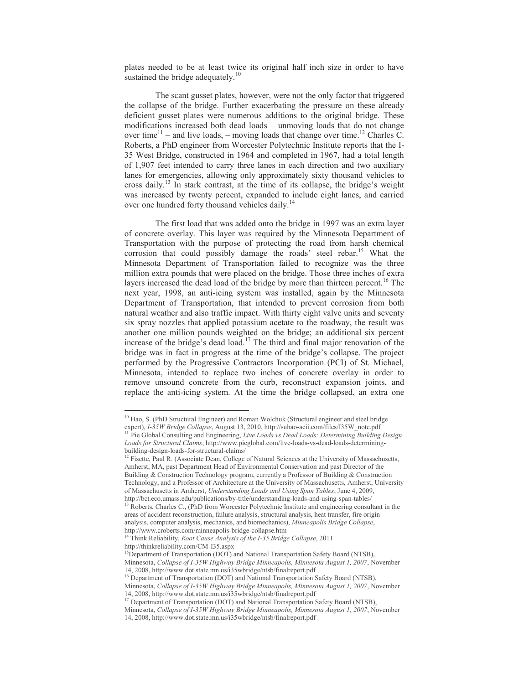plates needed to be at least twice its original half inch size in order to have sustained the bridge adequately.<sup>10</sup>

The scant gusset plates, however, were not the only factor that triggered the collapse of the bridge. Further exacerbating the pressure on these already deficient gusset plates were numerous additions to the original bridge. These modifications increased both dead loads – unmoving loads that do not change over time<sup>11</sup> – and live loads, – moving loads that change over time.<sup>12</sup> Charles C. Roberts, a PhD engineer from Worcester Polytechnic Institute reports that the I-35 West Bridge, constructed in 1964 and completed in 1967, had a total length of 1,907 feet intended to carry three lanes in each direction and two auxiliary lanes for emergencies, allowing only approximately sixty thousand vehicles to cross daily.<sup>13</sup> In stark contrast, at the time of its collapse, the bridge's weight was increased by twenty percent, expanded to include eight lanes, and carried over one hundred forty thousand vehicles daily.<sup>14</sup>

The first load that was added onto the bridge in 1997 was an extra layer of concrete overlay. This layer was required by the Minnesota Department of Transportation with the purpose of protecting the road from harsh chemical corrosion that could possibly damage the roads' steel rebar.<sup>15</sup> What the Minnesota Department of Transportation failed to recognize was the three million extra pounds that were placed on the bridge. Those three inches of extra layers increased the dead load of the bridge by more than thirteen percent.<sup>16</sup> The next year, 1998, an anti-icing system was installed, again by the Minnesota Department of Transportation, that intended to prevent corrosion from both natural weather and also traffic impact. With thirty eight valve units and seventy six spray nozzles that applied potassium acetate to the roadway, the result was another one million pounds weighted on the bridge; an additional six percent increase of the bridge's dead load.<sup>17</sup> The third and final major renovation of the bridge was in fact in progress at the time of the bridge's collapse. The project performed by the Progressive Contractors Incorporation (PCI) of St. Michael, Minnesota, intended to replace two inches of concrete overlay in order to remove unsound concrete from the curb, reconstruct expansion joints, and replace the anti-icing system. At the time the bridge collapsed, an extra one

 $\overline{\phantom{a}}$ 

<sup>&</sup>lt;sup>10</sup> Hao, S. (PhD Structural Engineer) and Roman Wolchuk (Structural engineer and steel bridge expert), *I-35W Bridge Collapse*, August 13, 2010, http://suhao-acii.com/files/I35W\_note.pdf

<sup>&</sup>lt;sup>11</sup> Pie Global Consulting and Engineering, *Live Loads vs Dead Loads: Determining Building Design Loads for Structural Claims*, http://www.pieglobal.com/live-loads-vs-dead-loads-determiningbuilding-design-loads-for-structural-claims/

 $12$  Fisette, Paul R. (Associate Dean, College of Natural Sciences at the University of Massachusetts, Amherst, MA, past Department Head of Environmental Conservation and past Director of the Building & Construction Technology program, currently a Professor of Building & Construction Technology, and a Professor of Architecture at the University of Massachusetts, Amherst, University of Massachusetts in Amherst, *Understanding Loads and Using Span Tables*, June 4, 2009, http://bct.eco.umass.edu/publications/by-title/understanding-loads-and-using-span-tables/

<sup>&</sup>lt;sup>13</sup> Roberts, Charles C., (PhD from Worcester Polytechnic Institute and engineering consultant in the areas of accident reconstruction, failure analysis, structural analysis, heat transfer, fire origin analysis, computer analysis, mechanics, and biomechanics), *Minneapolis Bridge Collapse*, http://www.croberts.com/minneapolis-bridge-collapse.htm

<sup>14</sup> Think Reliability, *Root Cause Analysis of the I-35 Bridge Collapse*, 2011 http://thinkreliability.com/CM-I35.aspx

<sup>&</sup>lt;sup>15</sup>Department of Transportation (DOT) and National Transportation Safety Board (NTSB), Minnesota, *Collapse of I-35W Highway Bridge Minneapolis, Minnesota August 1, 2007*, November 14, 2008, http://www.dot.state.mn.us/i35wbridge/ntsb/finalreport.pdf

<sup>&</sup>lt;sup>16</sup> Department of Transportation (DOT) and National Transportation Safety Board (NTSB),

Minnesota, *Collapse of I-35W Highway Bridge Minneapolis, Minnesota August 1, 2007*, November 14, 2008, http://www.dot.state.mn.us/i35wbridge/ntsb/finalreport.pdf

<sup>&</sup>lt;sup>17</sup> Department of Transportation (DOT) and National Transportation Safety Board (NTSB),

Minnesota, *Collapse of I-35W Highway Bridge Minneapolis, Minnesota August 1, 2007*, November

<sup>14, 2008,</sup> http://www.dot.state.mn.us/i35wbridge/ntsb/finalreport.pdf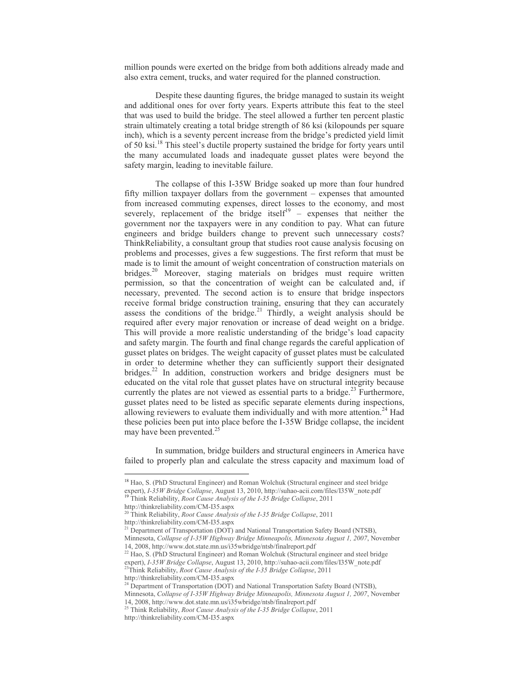million pounds were exerted on the bridge from both additions already made and also extra cement, trucks, and water required for the planned construction.

Despite these daunting figures, the bridge managed to sustain its weight and additional ones for over forty years. Experts attribute this feat to the steel that was used to build the bridge. The steel allowed a further ten percent plastic strain ultimately creating a total bridge strength of 86 ksi (kilopounds per square inch), which is a seventy percent increase from the bridge's predicted yield limit of 50 ksi.<sup>18</sup> This steel's ductile property sustained the bridge for forty years until the many accumulated loads and inadequate gusset plates were beyond the safety margin, leading to inevitable failure.

The collapse of this I-35W Bridge soaked up more than four hundred fifty million taxpayer dollars from the government – expenses that amounted from increased commuting expenses, direct losses to the economy, and most severely, replacement of the bridge itself<sup>19</sup> - expenses that neither the government nor the taxpayers were in any condition to pay. What can future engineers and bridge builders change to prevent such unnecessary costs? ThinkReliability, a consultant group that studies root cause analysis focusing on problems and processes, gives a few suggestions. The first reform that must be made is to limit the amount of weight concentration of construction materials on bridges.<sup>20</sup> Moreover, staging materials on bridges must require written permission, so that the concentration of weight can be calculated and, if necessary, prevented. The second action is to ensure that bridge inspectors receive formal bridge construction training, ensuring that they can accurately assess the conditions of the bridge.<sup>21</sup> Thirdly, a weight analysis should be required after every major renovation or increase of dead weight on a bridge. This will provide a more realistic understanding of the bridge's load capacity and safety margin. The fourth and final change regards the careful application of gusset plates on bridges. The weight capacity of gusset plates must be calculated in order to determine whether they can sufficiently support their designated bridges.<sup>22</sup> In addition, construction workers and bridge designers must be educated on the vital role that gusset plates have on structural integrity because currently the plates are not viewed as essential parts to a bridge.<sup>23</sup> Furthermore, gusset plates need to be listed as specific separate elements during inspections, allowing reviewers to evaluate them individually and with more attention.<sup>24</sup> Had these policies been put into place before the I-35W Bridge collapse, the incident may have been prevented.<sup>25</sup>

In summation, bridge builders and structural engineers in America have failed to properly plan and calculate the stress capacity and maximum load of

 $\overline{\phantom{a}}$ 

<sup>23</sup>Think Reliability, *Root Cause Analysis of the I-35 Bridge Collapse*, 2011

<sup>&</sup>lt;sup>18</sup> Hao, S. (PhD Structural Engineer) and Roman Wolchuk (Structural engineer and steel bridge expert), *I-35W Bridge Collapse*, August 13, 2010, http://suhao-acii.com/files/I35W\_note.pdf <sup>19</sup> Think Reliability, *Root Cause Analysis of the I-35 Bridge Collapse*, 2011

http://thinkreliability.com/CM-I35.aspx

<sup>20</sup> Think Reliability, *Root Cause Analysis of the I-35 Bridge Collapse*, 2011 http://thinkreliability.com/CM-I35.aspx

<sup>&</sup>lt;sup>21</sup> Department of Transportation (DOT) and National Transportation Safety Board (NTSB), Minnesota, *Collapse of I-35W Highway Bridge Minneapolis, Minnesota August 1, 2007*, November

<sup>14, 2008,</sup> http://www.dot.state.mn.us/i35wbridge/ntsb/finalreport.pdf

 $^{22}$  Hao, S. (PhD Structural Engineer) and Roman Wolchuk (Structural engineer and steel bridge expert), *I-35W Bridge Collapse*, August 13, 2010, http://suhao-acii.com/files/I35W\_note.pdf

http://thinkreliability.com/CM-I35.aspx

<sup>&</sup>lt;sup>24</sup> Department of Transportation (DOT) and National Transportation Safety Board (NTSB),

Minnesota, *Collapse of I-35W Highway Bridge Minneapolis, Minnesota August 1, 2007*, November 14, 2008, http://www.dot.state.mn.us/i35wbridge/ntsb/finalreport.pdf

<sup>25</sup> Think Reliability, *Root Cause Analysis of the I-35 Bridge Collapse*, 2011 http://thinkreliability.com/CM-I35.aspx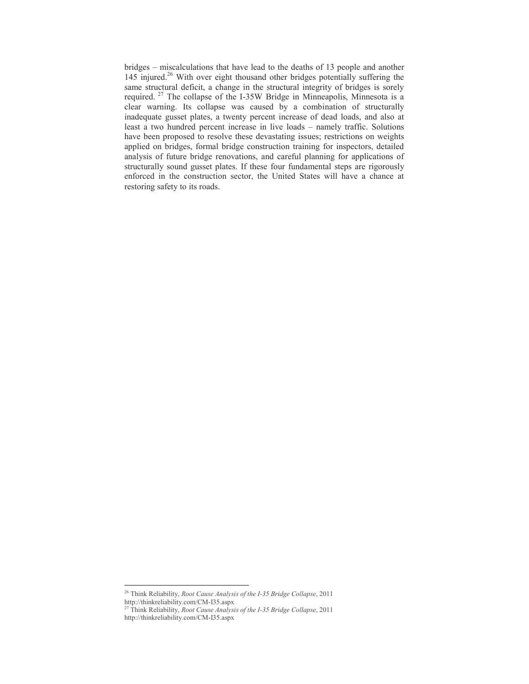bridges – miscalculations that have lead to the deaths of 13 people and another 145 injured. <sup>26</sup> With over eight thousand other bridges potentially suffering the same structural deficit, a change in the structural integrity of bridges is sorely required. <sup>27</sup> The collapse of the I-35W Bridge in Minneapolis, Minnesota is a clear warning. Its collapse was caused by a combination of structurally inadequate gusset plates, a twenty percent increase of dead loads, and also at least a two hundred percent increase in live loads – namely traffic. Solutions have been proposed to resolve these devastating issues; restrictions on weights applied on bridges, formal bridge construction training for inspectors, detailed analysis of future bridge renovations, and careful planning for applications of structurally sound gusset plates. If these four fundamental steps are rigorously enforced in the construction sector, the United States will have a chance at restoring safety to its roads.

 $\overline{a}$ 

<sup>26</sup> Think Reliability, *Root Cause Analysis of the I-35 Bridge Collapse*, 2011 http://thinkreliability.com/CM-I35.aspx

<sup>27</sup> Think Reliability, *Root Cause Analysis of the I-35 Bridge Collapse*, 2011 http://thinkreliability.com/CM-I35.aspx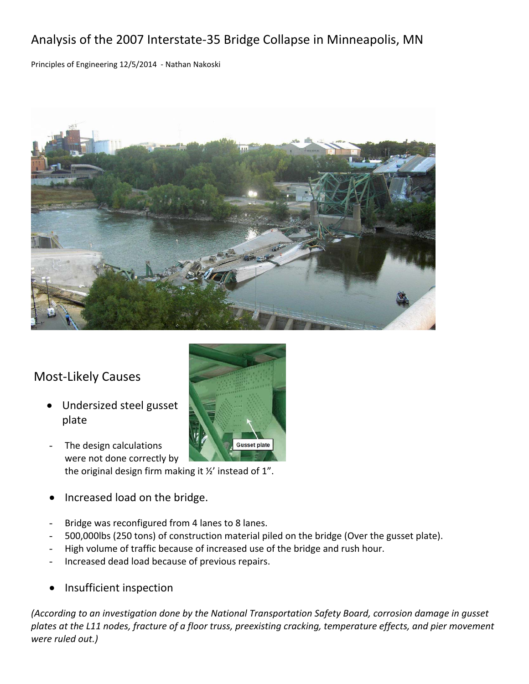# Analysis of the 2007 Interstate‐35 Bridge Collapse in Minneapolis, MN

Principles of Engineering 12/5/2014 ‐ Nathan Nakoski



## Most‐Likely Causes

- Undersized steel gusset plate
- The design calculations **Gusset plate** were not done correctly by the original design firm making it ½' instead of 1".
- Increased load on the bridge.
- Bridge was reconfigured from 4 lanes to 8 lanes.
- 500,000lbs (250 tons) of construction material piled on the bridge (Over the gusset plate).
- High volume of traffic because of increased use of the bridge and rush hour.
- Increased dead load because of previous repairs.
- Insufficient inspection

*(According to an investigation done by the National Transportation Safety Board, corrosion damage in gusset* plates at the L11 nodes, fracture of a floor truss, preexisting cracking, temperature effects, and pier movement *were ruled out.)*

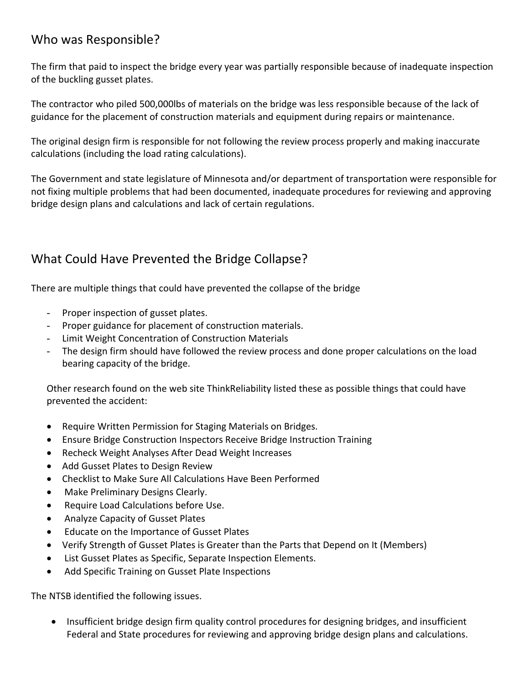## Who was Responsible?

The firm that paid to inspect the bridge every year was partially responsible because of inadequate inspection of the buckling gusset plates.

The contractor who piled 500,000lbs of materials on the bridge was less responsible because of the lack of guidance for the placement of construction materials and equipment during repairs or maintenance.

The original design firm is responsible for not following the review process properly and making inaccurate calculations (including the load rating calculations).

The Government and state legislature of Minnesota and/or department of transportation were responsible for not fixing multiple problems that had been documented, inadequate procedures for reviewing and approving bridge design plans and calculations and lack of certain regulations.

# What Could Have Prevented the Bridge Collapse?

There are multiple things that could have prevented the collapse of the bridge

- Proper inspection of gusset plates.
- Proper guidance for placement of construction materials.
- Limit Weight Concentration of Construction Materials
- The design firm should have followed the review process and done proper calculations on the load bearing capacity of the bridge.

Other research found on the web site ThinkReliability listed these as possible things that could have prevented the accident:

- Require Written Permission for Staging Materials on Bridges.
- Ensure Bridge Construction Inspectors Receive Bridge Instruction Training
- Recheck Weight Analyses After Dead Weight Increases
- Add Gusset Plates to Design Review
- Checklist to Make Sure All Calculations Have Been Performed
- Make Preliminary Designs Clearly.
- **•** Require Load Calculations before Use.
- Analyze Capacity of Gusset Plates
- Educate on the Importance of Gusset Plates
- Verify Strength of Gusset Plates is Greater than the Parts that Depend on It (Members)
- List Gusset Plates as Specific, Separate Inspection Elements.
- Add Specific Training on Gusset Plate Inspections

The NTSB identified the following issues.

• Insufficient bridge design firm quality control procedures for designing bridges, and insufficient Federal and State procedures for reviewing and approving bridge design plans and calculations.